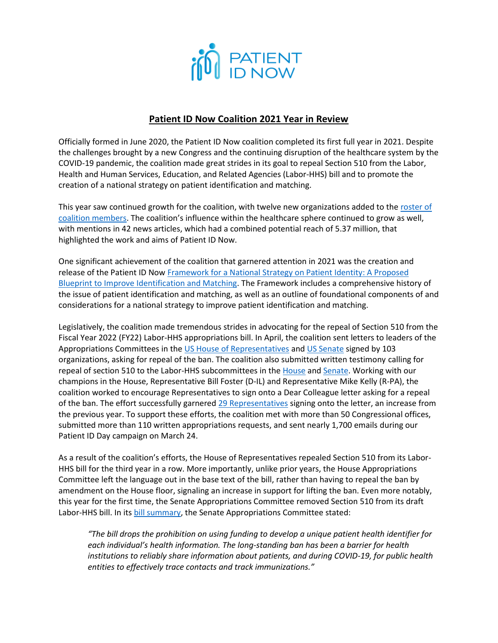

## **Patient ID Now Coalition 2021 Year in Review**

Officially formed in June 2020, the Patient ID Now coalition completed its first full year in 2021. Despite the challenges brought by a new Congress and the continuing disruption of the healthcare system by the COVID-19 pandemic, the coalition made great strides in its goal to repeal Section 510 from the Labor, Health and Human Services, Education, and Related Agencies (Labor-HHS) bill and to promote the creation of a national strategy on patient identification and matching.

This year saw continued growth for the coalition, with twelve new organizations added to th[e roster of](https://patientidnow.org/about/)  [coalition members.](https://patientidnow.org/about/) The coalition's influence within the healthcare sphere continued to grow as well, with mentions in 42 news articles, which had a combined potential reach of 5.37 million, that highlighted the work and aims of Patient ID Now.

One significant achievement of the coalition that garnered attention in 2021 was the creation and release of the Patient ID Now [Framework for a National Strategy on Patient Identity: A Proposed](https://catalog.ahima.org/view/251156390/?_ga=2.234626141.237706440.1638981280-1355208103.1602095131)  [Blueprint to Improve Identification and Matching.](https://catalog.ahima.org/view/251156390/?_ga=2.234626141.237706440.1638981280-1355208103.1602095131) The Framework includes a comprehensive history of the issue of patient identification and matching, as well as an outline of foundational components of and considerations for a national strategy to improve patient identification and matching.

Legislatively, the coalition made tremendous strides in advocating for the repeal of Section 510 from the Fiscal Year 2022 (FY22) Labor-HHS appropriations bill. In April, the coalition sent letters to leaders of the Appropriations Committees in th[e US House of Representatives](http://patientidnow.org/wp-content/uploads/2021/04/Patient-ID-Now-FY22-House-Appropriations-Sign-On-Letter-2.pdf) an[d US Senate](http://patientidnow.org/wp-content/uploads/2021/04/Patient-ID-Now-FY22-Senate-Appropriations-Sign-On-Letter-2.pdf) signed by 103 organizations, asking for repeal of the ban. The coalition also submitted written testimony calling for repeal of section 510 to the Labor-HHS subcommittees in th[e House](http://patientidnow.org/wp-content/uploads/2021/05/FY22-Testimony-of-the-Patient-ID-Now-Coalition.pdf) an[d Senate.](http://patientidnow.org/wp-content/uploads/2021/05/FY22-Senate-Testimony-of-the-Patient-ID-Now-Coalition.pdf) Working with our champions in the House, Representative Bill Foster (D-IL) and Representative Mike Kelly (R-PA), the coalition worked to encourage Representatives to sign onto a Dear Colleague letter asking for a repeal of the ban. The effort successfully garnere[d 29 Representatives](https://nam10.safelinks.protection.outlook.com/?url=https%3A%2F%2Furldefense.com%2Fv3%2F__http%3A%2Fpatientidnow.org%2Fwp-content%2Fuploads%2F2021%2F11%2FFoster-Kelly-Patient-Matching-Unique-Patient-Identifier-Ban-Letter_FY22_final.pdf__%3B!!Bg5easoyC-OII2vlEqY8mTBrtW-N4OJKAQ!ak3pqum1OkOefzEE_kLfVMDaz4Ad0SiOA2BJSEQFeZpae3Tm3Uvmp4Ivc1u4-ApeFgCDkK4%24&data=04%7C01%7CKate.McFadyen%40ahima.org%7Ce4eddcad53ff44ce1bb208d9adff7f56%7C0f78a38d1d54499da397eec7ff56d0f0%7C0%7C0%7C637732135142638382%7CUnknown%7CTWFpbGZsb3d8eyJWIjoiMC4wLjAwMDAiLCJQIjoiV2luMzIiLCJBTiI6Ik1haWwiLCJXVCI6Mn0%3D%7C3000&sdata=tg6v7iOTFfRWNLKKORcYpbq5%2Bsme66SZYTu7MgJjf%2BQ%3D&reserved=0) signing onto the letter, an increase from the previous year. To support these efforts, the coalition met with more than 50 Congressional offices, submitted more than 110 written appropriations requests, and sent nearly 1,700 emails during our Patient ID Day campaign on March 24.

As a result of the coalition's efforts, the House of Representatives repealed Section 510 from its Labor-HHS bill for the third year in a row. More importantly, unlike prior years, the House Appropriations Committee left the language out in the base text of the bill, rather than having to repeal the ban by amendment on the House floor, signaling an increase in support for lifting the ban. Even more notably, this year for the first time, the Senate Appropriations Committee removed Section 510 from its draft Labor-HHS bill. In it[s bill summary,](https://www.appropriations.senate.gov/imo/media/doc/LHHS1.pdf) the Senate Appropriations Committee stated:

*"The bill drops the prohibition on using funding to develop a unique patient health identifier for each individual's health information. The long-standing ban has been a barrier for health institutions to reliably share information about patients, and during COVID-19, for public health entities to effectively trace contacts and track immunizations."*